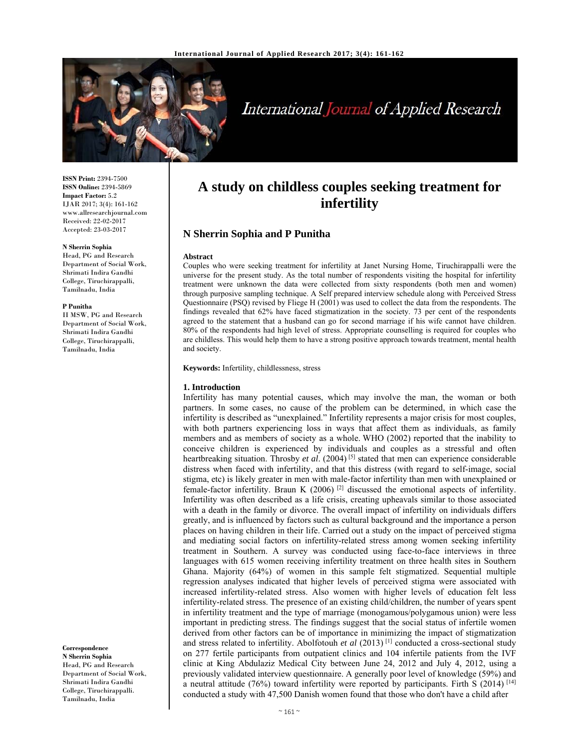

# International Journal of Applied Research

**ISSN Print:** 2394-7500 **ISSN Online:** 2394-5869 **Impact Factor:** 5.2 IJAR 2017; 3(4): 161-162 www.allresearchjournal.com Received: 22-02-2017 Accepted: 23-03-2017

#### **N Sherrin Sophia**

Head, PG and Research Department of Social Work, Shrimati Indira Gandhi College, Tiruchirappalli, Tamilnadu, India

#### **P Punitha**

II MSW, PG and Research Department of Social Work, Shrimati Indira Gandhi College, Tiruchirappalli, Tamilnadu, India

**Correspondence**

**N Sherrin Sophia**  Head, PG and Research Department of Social Work, Shrimati Indira Gandhi College, Tiruchirappalli. Tamilnadu, India

# **A study on childless couples seeking treatment for infertility**

# **N Sherrin Sophia and P Punitha**

#### **Abstract**

Couples who were seeking treatment for infertility at Janet Nursing Home, Tiruchirappalli were the universe for the present study. As the total number of respondents visiting the hospital for infertility treatment were unknown the data were collected from sixty respondents (both men and women) through purposive sampling technique. A Self prepared interview schedule along with Perceived Stress Questionnaire (PSQ) revised by Fliege H (2001) was used to collect the data from the respondents. The findings revealed that 62% have faced stigmatization in the society. 73 per cent of the respondents agreed to the statement that a husband can go for second marriage if his wife cannot have children. 80% of the respondents had high level of stress. Appropriate counselling is required for couples who are childless. This would help them to have a strong positive approach towards treatment, mental health and society.

**Keywords:** Infertility, childlessness, stress

#### **1. Introduction**

Infertility has many potential causes, which may involve the man, the woman or both partners. In some cases, no cause of the problem can be determined, in which case the infertility is described as "unexplained." Infertility represents a major crisis for most couples, with both partners experiencing loss in ways that affect them as individuals, as family members and as members of society as a whole. WHO (2002) reported that the inability to conceive children is experienced by individuals and couples as a stressful and often heartbreaking situation. Throsby *et al*. (2004) [5] stated that men can experience considerable distress when faced with infertility, and that this distress (with regard to self-image, social stigma, etc) is likely greater in men with male-factor infertility than men with unexplained or female-factor infertility. Braun K  $(2006)$  <sup>[2]</sup> discussed the emotional aspects of infertility. Infertility was often described as a life crisis, creating upheavals similar to those associated with a death in the family or divorce. The overall impact of infertility on individuals differs greatly, and is influenced by factors such as cultural background and the importance a person places on having children in their life. Carried out a study on the impact of perceived stigma and mediating social factors on infertility-related stress among women seeking infertility treatment in Southern. A survey was conducted using face-to-face interviews in three languages with 615 women receiving infertility treatment on three health sites in Southern Ghana. Majority (64%) of women in this sample felt stigmatized. Sequential multiple regression analyses indicated that higher levels of perceived stigma were associated with increased infertility-related stress. Also women with higher levels of education felt less infertility-related stress. The presence of an existing child/children, the number of years spent in infertility treatment and the type of marriage (monogamous/polygamous union) were less important in predicting stress. The findings suggest that the social status of infertile women derived from other factors can be of importance in minimizing the impact of stigmatization and stress related to infertility. Abolfotouh et al (2013)<sup>[1]</sup> conducted a cross-sectional study on 277 fertile participants from outpatient clinics and 104 infertile patients from the IVF clinic at King Abdulaziz Medical City between June 24, 2012 and July 4, 2012, using a previously validated interview questionnaire. A generally poor level of knowledge (59%) and a neutral attitude (76%) toward infertility were reported by participants. Firth S (2014) [14] conducted a study with 47,500 Danish women found that those who don't have a child after